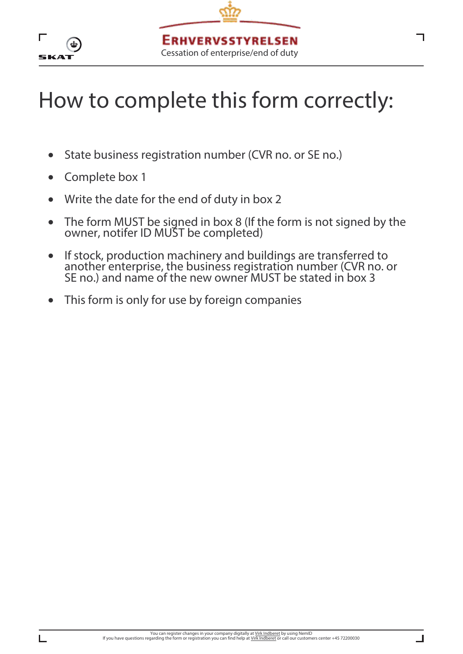

- State business registration number (CVR no. or SE no.)
- Complete box 1
- Write the date for the end of duty in box 2
- The form MUST be signed in box 8 (If the form is not signed by the owner, notifer ID MUST be completed)
- If stock, production machinery and buildings are transferred to another enterprise, the business registration number (CVR no. or SE no.) and name of the new owner MUST be stated in box 3
- This form is only for use by foreign companies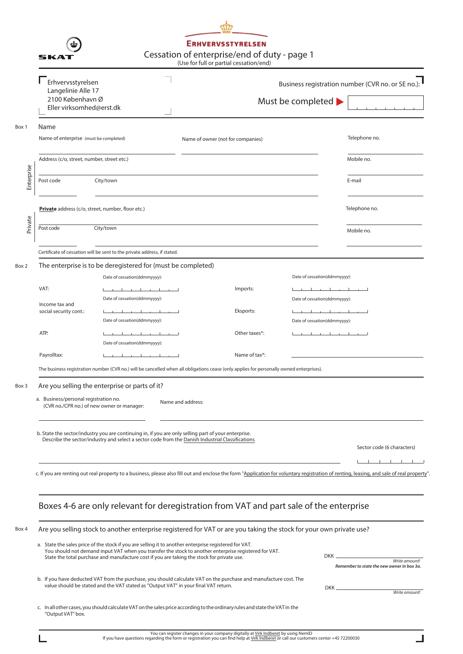|            | 5KA1                                                                                                                                                       |                                                                                                                                                                                                                                                                                                              | <b>ERHVERVSSTYRELSEN</b><br>(Use for full or partial cessation/end) | Cessation of enterprise/end of duty - page 1 |                                                            |                                                                                                                                                                                          |  |  |  |
|------------|------------------------------------------------------------------------------------------------------------------------------------------------------------|--------------------------------------------------------------------------------------------------------------------------------------------------------------------------------------------------------------------------------------------------------------------------------------------------------------|---------------------------------------------------------------------|----------------------------------------------|------------------------------------------------------------|------------------------------------------------------------------------------------------------------------------------------------------------------------------------------------------|--|--|--|
|            | Erhvervsstyrelsen<br>Langelinie Alle 17<br>2100 København Ø<br>Eller virksomhed@erst.dk                                                                    |                                                                                                                                                                                                                                                                                                              |                                                                     |                                              | Must be completed $\blacktriangleright$                    | Business registration number (CVR no. or SE no.):                                                                                                                                        |  |  |  |
| Box 1      | Name<br>Name of enterprise (must be completed)                                                                                                             |                                                                                                                                                                                                                                                                                                              | Name of owner (not for companies)                                   |                                              |                                                            | Telephone no.                                                                                                                                                                            |  |  |  |
|            | Address (c/o, street, number, street etc.)                                                                                                                 |                                                                                                                                                                                                                                                                                                              |                                                                     |                                              |                                                            | Mobile no.                                                                                                                                                                               |  |  |  |
| Enterprise | Post code                                                                                                                                                  | City/town                                                                                                                                                                                                                                                                                                    |                                                                     |                                              |                                                            | E-mail                                                                                                                                                                                   |  |  |  |
| Private    | Private address (c/o, street, number, floor etc.)                                                                                                          |                                                                                                                                                                                                                                                                                                              |                                                                     |                                              |                                                            | Telephone no.                                                                                                                                                                            |  |  |  |
|            | Post code                                                                                                                                                  | City/town                                                                                                                                                                                                                                                                                                    |                                                                     |                                              |                                                            | Mobile no.                                                                                                                                                                               |  |  |  |
|            |                                                                                                                                                            | Certificate of cessation will be sent to the private address, if stated.                                                                                                                                                                                                                                     |                                                                     |                                              |                                                            |                                                                                                                                                                                          |  |  |  |
| Box 2      |                                                                                                                                                            | The enterprise is to be deregistered for (must be completed)<br>Date of cessation(ddmmyyyy):                                                                                                                                                                                                                 |                                                                     |                                              | Date of cessation(ddmmyyyy):                               |                                                                                                                                                                                          |  |  |  |
|            | VAT:<br>Income tax and<br>social security cont.:                                                                                                           | the contract of the contract of the con-<br>Date of cessation(ddmmyyyy):<br>the contract of the con-                                                                                                                                                                                                         |                                                                     | Imports:<br>Eksports:                        | Date of cessation(ddmmyyyy):<br>and the state of the state |                                                                                                                                                                                          |  |  |  |
|            | ATP:                                                                                                                                                       | Date of cessation(ddmmyyyy):<br>the contract of the contract of                                                                                                                                                                                                                                              |                                                                     | Other taxes*:                                | Date of cessation(ddmmyyyy):<br>and the con-               | $\sim$ 1.00                                                                                                                                                                              |  |  |  |
|            | Payrolltax:                                                                                                                                                | Date of cessation(ddmmyyyy):<br>$\pm$<br>$\blacksquare$<br>$\sim$ 1.1                                                                                                                                                                                                                                        |                                                                     | Name of tax*:                                |                                                            |                                                                                                                                                                                          |  |  |  |
|            |                                                                                                                                                            | The business registration number (CVR no.) will be cancelled when all obligations cease (only applies for personally owned enterprises).                                                                                                                                                                     |                                                                     |                                              |                                                            |                                                                                                                                                                                          |  |  |  |
| Box 3      | Are you selling the enterprise or parts of it?<br>a. Business/personal registration no.<br>Name and address:<br>(CVR no./CPR no.) of new owner or manager: |                                                                                                                                                                                                                                                                                                              |                                                                     |                                              |                                                            |                                                                                                                                                                                          |  |  |  |
|            |                                                                                                                                                            | b. State the sector/industry you are continuing in, if you are only selling part of your enterprise.<br>Describe the sector/industry and select a sector code from the Danish Industrial Classifications                                                                                                     |                                                                     |                                              |                                                            | Sector code (6 characters)                                                                                                                                                               |  |  |  |
|            |                                                                                                                                                            |                                                                                                                                                                                                                                                                                                              |                                                                     |                                              |                                                            | c. If you are renting out real property to a business, please also fill out and enclose the form "Application for voluntary registration of renting, leasing, and sale of real property" |  |  |  |
|            |                                                                                                                                                            | Boxes 4-6 are only relevant for deregistration from VAT and part sale of the enterprise                                                                                                                                                                                                                      |                                                                     |                                              |                                                            |                                                                                                                                                                                          |  |  |  |
| Box 4      |                                                                                                                                                            | Are you selling stock to another enterprise registered for VAT or are you taking the stock for your own private use?                                                                                                                                                                                         |                                                                     |                                              |                                                            |                                                                                                                                                                                          |  |  |  |
|            |                                                                                                                                                            | a. State the sales price of the stock if you are selling it to another enterprise registered for VAT.<br>You should not demand input VAT when you transfer the stock to another enterprise registered for VAT.<br>State the total purchase and manufacture cost if you are taking the stock for private use. |                                                                     |                                              |                                                            | Write amount!<br>Remember to state the new owner in box 3a.                                                                                                                              |  |  |  |
|            |                                                                                                                                                            | b. If you have deducted VAT from the purchase, you should calculate VAT on the purchase and manufacture cost. The<br>value should be stated and the VAT stated as "Output VAT" in your final VAT return.                                                                                                     |                                                                     |                                              | $DKK$ $-$                                                  | Write amount!                                                                                                                                                                            |  |  |  |
|            | "Output VAT" box.                                                                                                                                          | c. In all other cases, you should calculate VAT on the sales price according to the ordinary rules and state the VAT in the                                                                                                                                                                                  |                                                                     |                                              |                                                            |                                                                                                                                                                                          |  |  |  |

┙